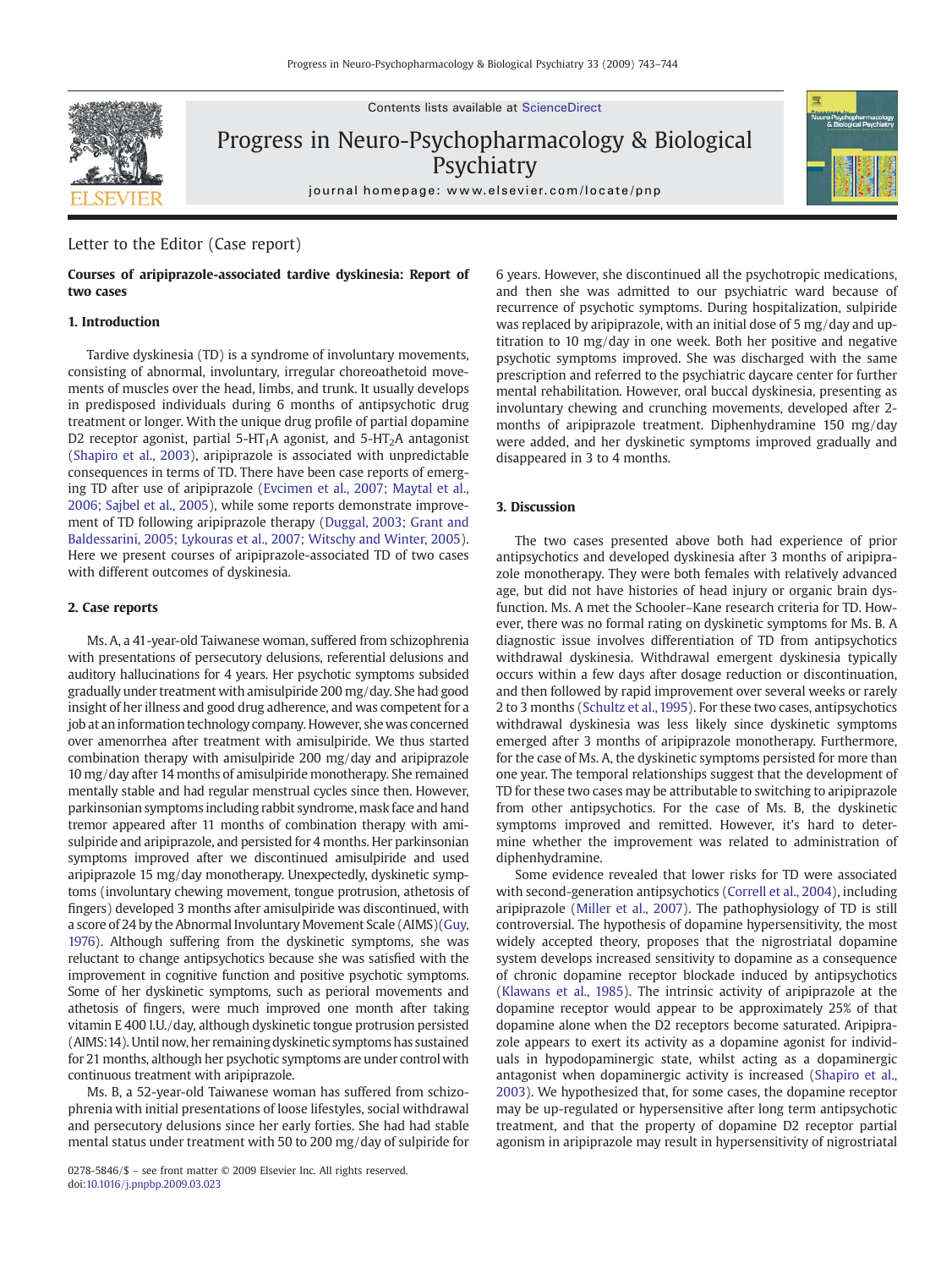Contents lists available at ScienceDirect



Progress in Neuro-Psychopharmacology & Biological **Psychiatry** 



# Letter to the Editor (Case report)

# Courses of aripiprazole-associated tardive dyskinesia: Report of two cases

# 1. Introduction

Tardive dyskinesia (TD) is a syndrome of involuntary movements, consisting of abnormal, involuntary, irregular choreoathetoid movements of muscles over the head, limbs, and trunk. It usually develops in predisposed individuals during 6 months of antipsychotic drug treatment or longer. With the unique drug profile of partial dopamine D2 receptor agonist, partial 5-HT<sub>1</sub>A agonist, and 5-HT<sub>2</sub>A antagonist (Shapiro et al., 2003), aripiprazole is associated with unpredictable consequences in terms of TD. There have been case reports of emerging TD after use of aripiprazole (Evcimen et al., 2007; Maytal et al., 2006; Sajbel et al., 2005), while some reports demonstrate improvement of TD following aripiprazole therapy (Duggal, 2003; Grant and Baldessarini, 2005; Lykouras et al., 2007; Witschy and Winter, 2005). Here we present courses of aripiprazole-associated TD of two cases with different outcomes of dyskinesia.

#### 2. Case reports

Ms. A, a 41-year-old Taiwanese woman, suffered from schizophrenia with presentations of persecutory delusions, referential delusions and auditory hallucinations for 4 years. Her psychotic symptoms subsided gradually under treatment with amisulpiride 200 mg/day. She had good insight of her illness and good drug adherence, and was competent for a job at an information technology company. However, she was concerned over amenorrhea after treatment with amisulpiride. We thus started combination therapy with amisulpiride 200 mg/day and aripiprazole 10 mg/day after 14 months of amisulpiride monotherapy. She remained mentally stable and had regular menstrual cycles since then. However, parkinsonian symptoms including rabbit syndrome, mask face and hand tremor appeared after 11 months of combination therapy with amisulpiride and aripiprazole, and persisted for 4 months. Her parkinsonian symptoms improved after we discontinued amisulpiride and used aripiprazole 15 mg/day monotherapy. Unexpectedly, dyskinetic symptoms (involuntary chewing movement, tongue protrusion, athetosis of fingers) developed 3 months after amisulpiride was discontinued, with a score of 24 by the Abnormal Involuntary Movement Scale (AIMS)(Guy, 1976). Although suffering from the dyskinetic symptoms, she was reluctant to change antipsychotics because she was satisfied with the improvement in cognitive function and positive psychotic symptoms. Some of her dyskinetic symptoms, such as perioral movements and athetosis of fingers, were much improved one month after taking vitamin E 400 I.U./day, although dyskinetic tongue protrusion persisted (AIMS:14). Until now, her remaining dyskinetic symptoms has sustained for 21 months, although her psychotic symptoms are under control with continuous treatment with aripiprazole.

Ms. B, a 52-year-old Taiwanese woman has suffered from schizophrenia with initial presentations of loose lifestyles, social withdrawal and persecutory delusions since her early forties. She had had stable mental status under treatment with 50 to 200 mg/day of sulpiride for

6 years. However, she discontinued all the psychotropic medications, and then she was admitted to our psychiatric ward because of recurrence of psychotic symptoms. During hospitalization, sulpiride was replaced by aripiprazole, with an initial dose of 5 mg/day and uptitration to 10 mg/day in one week. Both her positive and negative psychotic symptoms improved. She was discharged with the same prescription and referred to the psychiatric daycare center for further mental rehabilitation. However, oral buccal dyskinesia, presenting as involuntary chewing and crunching movements, developed after 2 months of aripiprazole treatment. Diphenhydramine 150 mg/day were added, and her dyskinetic symptoms improved gradually and disappeared in 3 to 4 months.

## 3. Discussion

The two cases presented above both had experience of prior antipsychotics and developed dyskinesia after 3 months of aripiprazole monotherapy. They were both females with relatively advanced age, but did not have histories of head injury or organic brain dysfunction. Ms. A met the Schooler–Kane research criteria for TD. However, there was no formal rating on dyskinetic symptoms for Ms. B. A diagnostic issue involves differentiation of TD from antipsychotics withdrawal dyskinesia. Withdrawal emergent dyskinesia typically occurs within a few days after dosage reduction or discontinuation, and then followed by rapid improvement over several weeks or rarely 2 to 3 months (Schultz et al., 1995). For these two cases, antipsychotics withdrawal dyskinesia was less likely since dyskinetic symptoms emerged after 3 months of aripiprazole monotherapy. Furthermore, for the case of Ms. A, the dyskinetic symptoms persisted for more than one year. The temporal relationships suggest that the development of TD for these two cases may be attributable to switching to aripiprazole from other antipsychotics. For the case of Ms. B, the dyskinetic symptoms improved and remitted. However, it's hard to determine whether the improvement was related to administration of diphenhydramine.

Some evidence revealed that lower risks for TD were associated with second-generation antipsychotics (Correll et al., 2004), including aripiprazole (Miller et al., 2007). The pathophysiology of TD is still controversial. The hypothesis of dopamine hypersensitivity, the most widely accepted theory, proposes that the nigrostriatal dopamine system develops increased sensitivity to dopamine as a consequence of chronic dopamine receptor blockade induced by antipsychotics (Klawans et al., 1985). The intrinsic activity of aripiprazole at the dopamine receptor would appear to be approximately 25% of that dopamine alone when the D2 receptors become saturated. Aripiprazole appears to exert its activity as a dopamine agonist for individuals in hypodopaminergic state, whilst acting as a dopaminergic antagonist when dopaminergic activity is increased (Shapiro et al., 2003). We hypothesized that, for some cases, the dopamine receptor may be up-regulated or hypersensitive after long term antipsychotic treatment, and that the property of dopamine D2 receptor partial agonism in aripiprazole may result in hypersensitivity of nigrostriatal